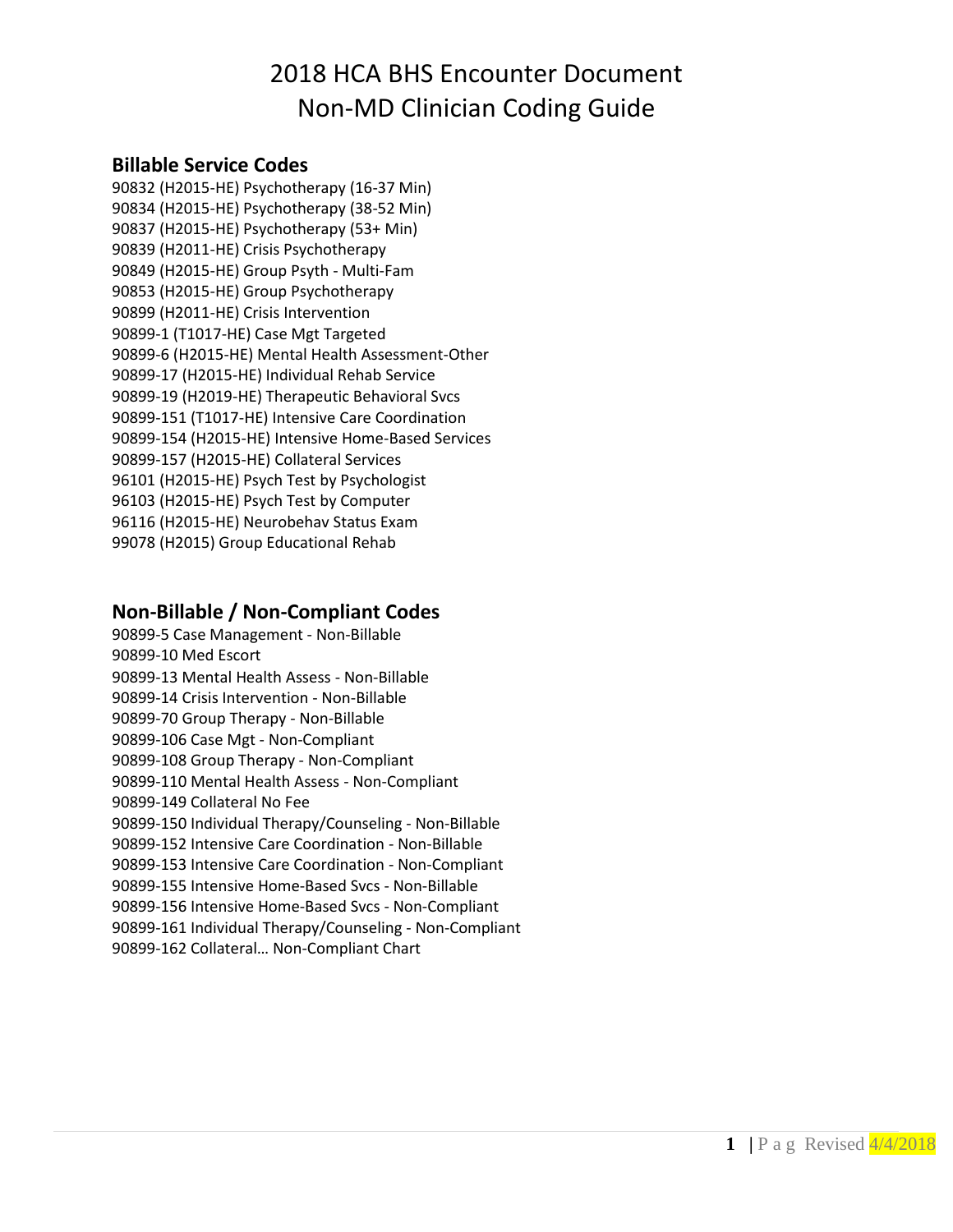## 2018 HCA BHS Encounter Document Non-MD Clinician Coding Guide

#### **Billable Service Codes**

90832 (H2015-HE) Psychotherapy (16-37 Min) 90834 (H2015-HE) Psychotherapy (38-52 Min) 90837 (H2015-HE) Psychotherapy (53+ Min) 90839 (H2011-HE) Crisis Psychotherapy 90849 (H2015-HE) Group Psyth - Multi-Fam 90853 (H2015-HE) Group Psychotherapy 90899 (H2011-HE) Crisis Intervention 90899-1 (T1017-HE) Case Mgt Targeted 90899-6 (H2015-HE) Mental Health Assessment-Other 90899-17 (H2015-HE) Individual Rehab Service 90899-19 (H2019-HE) Therapeutic Behavioral Svcs 90899-151 (T1017-HE) Intensive Care Coordination 90899-154 (H2015-HE) Intensive Home-Based Services 90899-157 (H2015-HE) Collateral Services 96101 (H2015-HE) Psych Test by Psychologist 96103 (H2015-HE) Psych Test by Computer 96116 (H2015-HE) Neurobehav Status Exam 99078 (H2015) Group Educational Rehab

#### **Non-Billable / Non-Compliant Codes**

90899-5 Case Management - Non-Billable 90899-10 Med Escort 90899-13 Mental Health Assess - Non-Billable 90899-14 Crisis Intervention - Non-Billable 90899-70 Group Therapy - Non-Billable 90899-106 Case Mgt - Non-Compliant 90899-108 Group Therapy - Non-Compliant 90899-110 Mental Health Assess - Non-Compliant 90899-149 Collateral No Fee 90899-150 Individual Therapy/Counseling - Non-Billable 90899-152 Intensive Care Coordination - Non-Billable 90899-153 Intensive Care Coordination - Non-Compliant 90899-155 Intensive Home-Based Svcs - Non-Billable 90899-156 Intensive Home-Based Svcs - Non-Compliant 90899-161 Individual Therapy/Counseling - Non-Compliant 90899-162 Collateral… Non-Compliant Chart